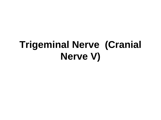## **Trigeminal Nerve (Cranial Nerve V)**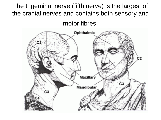The trigeminal nerve (fifth nerve) is the largest of the cranial nerves and contains both sensory and

motor fibres.

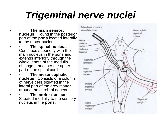# *Trigeminal nerve nuclei*

- · **The main sensory nucleus**. Found in the posterior part of the **pons** located laterally to the motor nucleus.
- · **The spinal nucleus**. Continues superiorly with the main nucleus in the pons and extends inferiorly through the whole length of the medulla oblongata and into the upper part of the spinal cord.
- · **The mesencephalic nucleus**. Consists of a column of nerve cells situated in the lateral part of the grey matter around the cerebral aqueduct.
- · **The motor nucleus**. Situated medially to the sensory nucleus in the **pons.**

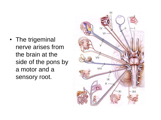• The trigeminal nerve arises from the brain at the side of the pons by a motor and a sensory root.

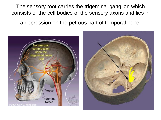The sensory root carries the trigeminal ganglion which consists of the cell bodies of the sensory axons and lies in

a depression on the petrous part of temporal bone.

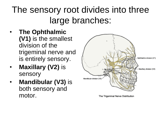### The sensory root divides into three large branches:

- **The Ophthalmic (V1)** is the smallest division of the trigeminal nerve and is entirely sensory.
- **Maxillary (V2)** is sensory
- **Mandibular (V3)** is both sensory and motor.



The Trigeminal Nerve Distribution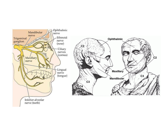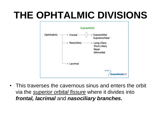# **THE OPHTALMIC DIVISIONS**



• This traverses the cavernous sinus and enters the orbit via the *superior orbital fissure* where it divides into *frontal, lacrimal* and *nasociliary branches.*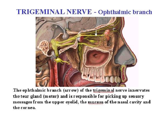#### **TRIGEMINAL NERVE - Ophthalmic branch**



The ophthalmic branch (arrow) of the trigeminal nerve innervates the tear gland (motor) and is responsible for picking up sensory messages from the upper eyelid, the mucosa of the nasal cavity and the cornea.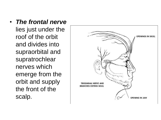• *The frontal nerve* lies just under the roof of the orbit and divides into supraorbital and supratrochlear nerves which emerge from the orbit and supply the front of the scalp.

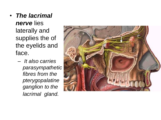- *The lacrimal nerve* lies laterally and supplies the of the eyelids and face.
	- *It also carries parasympathetic fibres from the pterygopalatine ganglion to the lacrimal gland.*

![](_page_10_Picture_2.jpeg)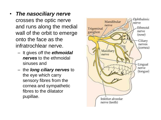- *The nasociliary nerve* crosses the optic nerve and runs along the medial wall of the orbit to emerge onto the face as the infratrochlear nerve.
	- It gives off the *ethmoidal nerves* to the ethmoidal sinuses and
	- the *long ciliary nerves* to the eye which carry sensory fibres from the cornea and sympathetic fibres to the dilatator pupillae.

![](_page_11_Picture_3.jpeg)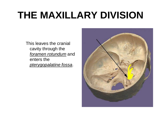# **THE MAXILLARY DIVISION**

This leaves the cranial cavity through the *foramen rotundum* and enters the *pterygopalatine fossa*.

![](_page_12_Picture_2.jpeg)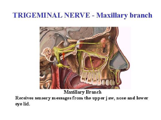#### **TRIGEMINAL NERVE - Maxillary branch**

![](_page_13_Picture_1.jpeg)

Maxillary Branch

Receives sensory messages from the upper j aw, nose and lower eye lid.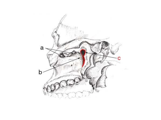![](_page_14_Picture_0.jpeg)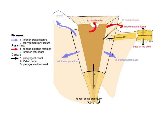![](_page_15_Figure_0.jpeg)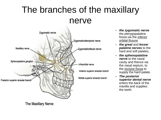### The branches of the maxillary nerve

![](_page_16_Picture_1.jpeg)

- *the zygomatic nerve*  the pterygopalatine fossa via the *inferior orbital fissure*
- *the great* and *lesser palatine nerves* to the hard and soft palates,
- *the sphenopalatine nerve* to the nasal cavity and thence via the nasal septum, to the *incisive fossa* to supply the hard palate.
- *The posterior superior dental nerve* enters the back of the maxilla and supplies the teeth.

The Maxillary Nerve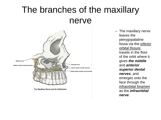#### The branches of the maxillary nerve

![](_page_17_Picture_1.jpeg)

The Maxillary Nerve and its Distribution

– The maxillary nerve leaves the pterygopalatine fossa via the *inferior orbital fissure*, travels in the floor of the orbit where it gives *the middle* and *anterior superior dental nerves*, and emerges onto the face through the *infraorbital foramen* as the *infraorbital nerve*.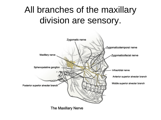### All branches of the maxillary division are sensory.

![](_page_18_Figure_1.jpeg)

The Maxillary Nerve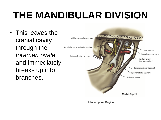# **THE MANDIBULAR DIVISION**

• This leaves the cranial cavity through the *foramen ovale* and immediately breaks up into branches.

![](_page_19_Figure_2.jpeg)

Infratemporal Region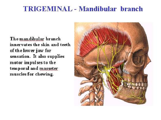#### **TRIGEMINAL - Mandibular branch**

The mandibular branch innervates the skin and teeth of the lower jaw for sensation. It also supplies motor impulses to the temporal and masseter muscles for chewing.

![](_page_20_Picture_2.jpeg)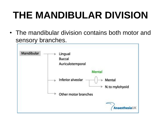# **THE MANDIBULAR DIVISION**

• The mandibular division contains both motor and sensory branches.

![](_page_21_Figure_2.jpeg)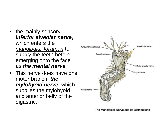- the mainly sensory *inferior alveolar nerve*, which enters the *mandibular foramen* to supply the teeth before emerging onto the face as *the mental nerve.*
- This nerve does have one motor branch, *the mylohyoid nerve*, which supplies the mylohyoid and anterior belly of the digastric.

![](_page_22_Figure_2.jpeg)

The Mandibular Nerve and its Distributions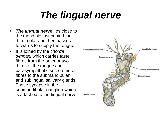# *The lingual nerve*

- *The lingual nerve* lies close to the mandible just behind the third molar and then passes forwards to supply the tongue.
- It is joined by the *chorda tympani* which carries taste fibres from the anterior twothirds of the tongue and parasympathetic secretomotor fibres to the submandibular and sublingual salivary glands. These synapse in the submandibular ganglion which is attached to the lingual nerve

![](_page_23_Figure_3.jpeg)